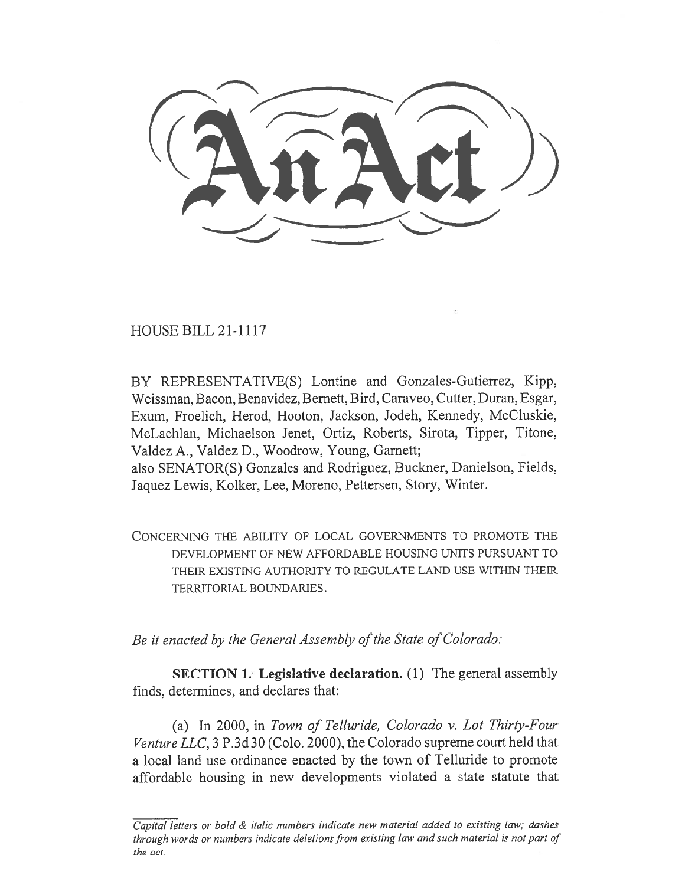HOUSE BILL 21-1117

BY REPRESENTATIVE(S) Lontine and Gonzales-Gutierrez, Kipp, Weissman, Bacon, Benavidez, Bernett, Bird, Caraveo, Cutter, Duran, Esgar, Exum, Froelich, Herod, Hooton, Jackson, Jodeh, Kennedy, McCluskie, McLachlan, Michaelson Jenet, Ortiz, Roberts, Sirota, Tipper, Titone, Valdez A., Valdez D., Woodrow, Young, Garnett;

also SENATOR(S) Gonzales and Rodriguez, Buckner, Danielson, Fields, Jaquez Lewis, Kolker, Lee, Moreno, Pettersen, Story, Winter.

CONCERNING THE ABILITY OF LOCAL GOVERNMENTS TO PROMOTE THE DEVELOPMENT OF NEW AFFORDABLE HOUSING UNITS PURSUANT TO THEIR EXISTING AUTHORITY TO REGULATE LAND USE WITHIN THEIR TERRITORIAL BOUNDARIES.

Be it enacted by the General Assembly of the State of Colorado:

SECTION 1. Legislative declaration. (1) The general assembly finds, determines, and declares that:

(a) In 2000, in Town of Telluride, Colorado v. Lot Thirty-Four Venture LLC, 3 P.3d 30 (Colo. 2000), the Colorado supreme court held that a local land use ordinance enacted by the town of Telluride to promote affordable housing in new developments violated a state statute that

Capital letters or bold & italic numbers indicate new material added to existing law; dashes through words or numbers indicate deletions from existing law and such material is not part of the act.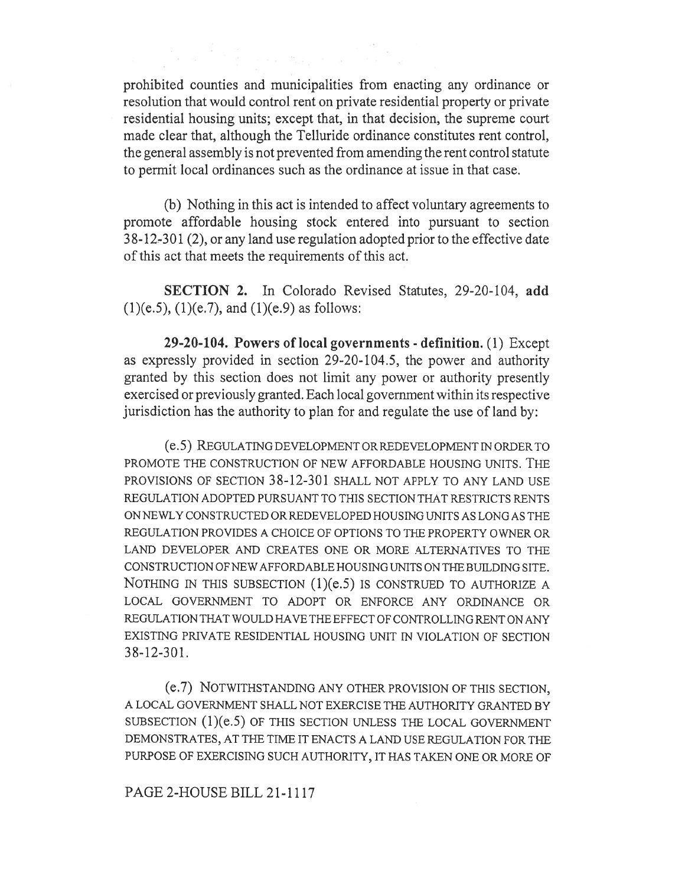prohibited counties and municipalities from enacting any ordinance or resolution that would control rent on private residential property or private residential housing units; except that, in that decision, the supreme court made clear that, although the Telluride ordinance constitutes rent control, the general assembly is not prevented from amending the rent control statute to permit local ordinances such as the ordinance at issue in that case.

(b) Nothing in this act is intended to affect voluntary agreements to promote affordable housing stock entered into pursuant to section 38-12,301 (2), or any land use regulation adopted prior to the effective date of this act that meets the requirements of this act.

SECTION 2. In Colorado Revised Statutes, 29-20-104, add  $(1)(e.5)$ ,  $(1)(e.7)$ , and  $(1)(e.9)$  as follows:

29-20-104. Powers of local governments - definition. (1) Except as expressly provided in section 29-20-104.5, the power and authority granted by this section does not limit any power or authority presently exercised or previously granted. Each local government within its respective jurisdiction has the authority to plan for and regulate the use of land by:

(e.5) REGULATING DEVELOPMENT OR REDEVELOPMENT IN ORDER TO PROMOTE THE CONSTRUCTION OF NEW AFFORDABLE HOUSING UNITS. THE PROVISIONS OF SECTION 38-12-301 SHALL NOT APPLY TO ANY LAND USE REGULATION ADOPTED PURSUANT TO THIS SECTION THAT RESTRICTS RENTS ON NEWLY CONSTRUCTED OR REDEVELOPED HOUSING UNITS AS LONG AS THE REGULATION PROVIDES A CHOICE OF OPTIONS TO THE PROPERTY OWNER OR LAND DEVELOPER AND CREATES ONE OR MORE ALTERNATIVES TO THE CONSTRUCTION OF NEW AFFORDABLE HOUSING UNITS ON THE BUILDING SITE. NOTHING IN THIS SUBSECTION (1)(e.5) IS CONSTRUED TO AUTHORIZE A LOCAL GOVERNMENT TO ADOPT OR ENFORCE ANY ORDINANCE OR REGULATION THAT WOULD HAVE THE EFFECT OF CONTROLLING RENT ON ANY EXISTING PRIVATE RESIDENTIAL HOUSING UNIT IN VIOLATION OF SECTION 38-12-301.

(e.7) NOTWITHSTANDING ANY OTHER PROVISION OF THIS SECTION, A LOCAL GOVERNMENT SHALL NOT EXERCISE THE AUTHORITY GRANTED BY SUBSECTION (1)(e.5) OF THIS SECTION UNLESS THE LOCAL GOVERNMENT DEMONSTRATES, AT THE TIME IT ENACTS A LAND USE REGULATION FOR THE PURPOSE OF EXERCISING SUCH AUTHORITY, IT HAS TAKEN ONE OR MORE OF

## PAGE 2-HOUSE BILL 21-1117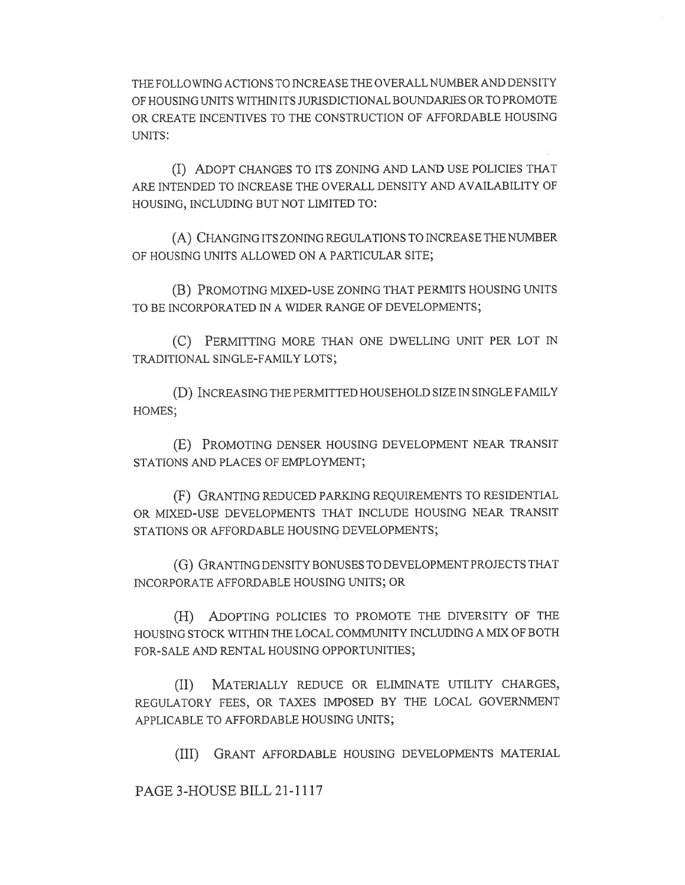THE FOLLOWING ACTIONS TO INCREASE THE OVERALL NUMBER AND DENSITY OF HOUSING UNITS WITHIN ITS JURISDICTIONAL BOUNDARIES OR TO PROMOTE OR CREATE INCENTIVES TO THE CONSTRUCTION OF AFFORDABLE HOUSING UNITS:

(I) ADOPT CHANGES TO ITS ZONING AND LAND USE POLICIES THAT ARE INTENDED TO INCREASE THE OVERALL DENSITY AND AVAILABILITY OF HOUSING, INCLUDING BUT NOT LIMITED TO:

(A) CHANGING ITS ZONING REGULATIONS TO INCREASE THE NUMBER OF HOUSING UNITS ALLOWED ON A PARTICULAR SITE;

(B) PROMOTING MIXED-USE ZONING THAT PERMITS HOUSING UNITS TO BE INCORPORATED IN A WIDER RANGE OF DEVELOPMENTS;

(C) PERMITTING MORE THAN ONE DWELLING UNIT PER LOT IN TRADITIONAL SINGLE-FAMILY LOTS;

(D) INCREASING THE PERMITTED HOUSEHOLD SIZE IN SINGLE FAMILY HOMES;

(E) PROMOTING DENSER HOUSING DEVELOPMENT NEAR TRANSIT STATIONS AND PLACES OF EMPLOYMENT;

(F) GRANTING REDUCED PARKING REQUIREMENTS TO RESIDENTIAL OR MIXED-USE DEVELOPMENTS THAT INCLUDE HOUSING NEAR TRANSIT STATIONS OR AFFORDABLE HOUSING DEVELOPMENTS;

(G) GRANTING DENSITY BONUSES TO DEVELOPMENT PROJECTS THAT INCORPORATE AFFORDABLE HOUSING UNITS; OR

(H) ADOPTING POLICIES TO PROMOTE THE DIVERSITY OF THE HOUSING STOCK WITHIN THE LOCAL COMMUNITY INCLUDING A MIX OF BOTH FOR-SALE AND RENTAL HOUSING OPPORTUNITIES;

(II) MATERIALLY REDUCE OR ELIMINATE UTILITY CHARGES, REGULATORY FEES, OR TAXES IMPOSED BY THE LOCAL GOVERNMENT APPLICABLE TO AFFORDABLE HOUSING UNITS;

(III) GRANT AFFORDABLE HOUSING DEVELOPMENTS MATERIAL

PAGE 3-HOUSE BILL 21-1117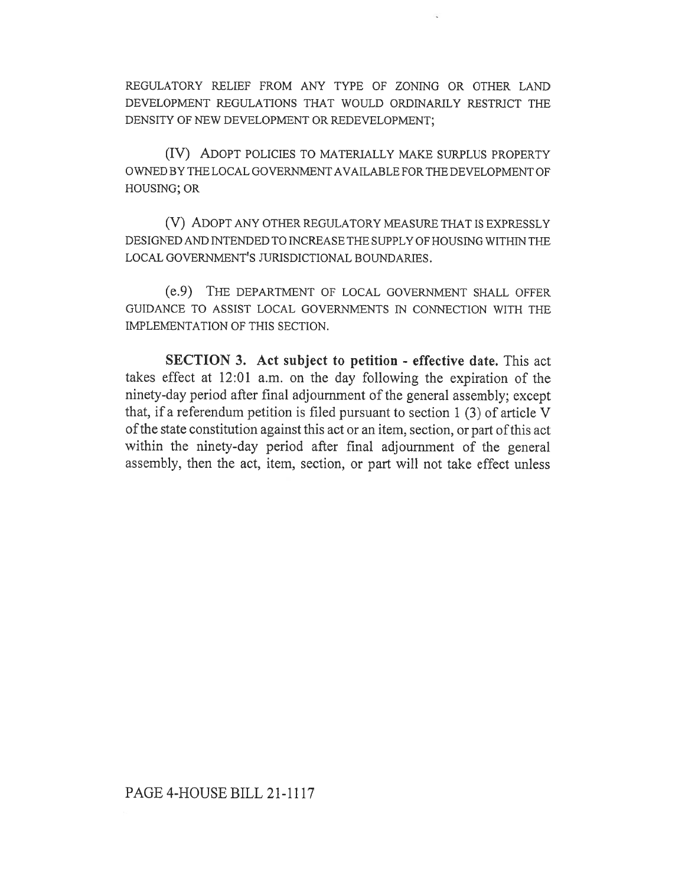REGULATORY RELIEF FROM ANY TYPE OF ZONING OR OTHER LAND DEVELOPMENT REGULATIONS THAT WOULD ORDINARILY RESTRICT THE DENSITY OF NEW DEVELOPMENT OR REDEVELOPMENT;

(IV) ADOPT POLICIES TO MATERIALLY MAKE SURPLUS PROPERTY OWNED BY THE LOCAL GOVERNMENT AVAILABLE FOR THE DEVELOPMENT OF HOUSING; OR

(V) ADOPT ANY OTHER REGULATORY MEASURE THAT IS EXPRESSLY DESIGNED AND INTENDED TO INCREASE THE SUPPLY OF HOUSING WITHIN THE LOCAL GOVERNMENT'S JURISDICTIONAL BOUNDARIES.

(e.9) THE DEPARTMENT OF LOCAL GOVERNMENT SHALL OFFER GUIDANCE TO ASSIST LOCAL GOVERNMENTS IN CONNECTION WITH THE IMPLEMENTATION OF THIS SECTION.

SECTION 3. Act subject to petition - effective date. This act takes effect at 12:01 a.m. on the day following the expiration of the ninety-day period after final adjournment of the general assembly; except that, if a referendum petition is filed pursuant to section 1 (3) of article V of the state constitution against this act or an item, section, or part of this act within the ninety-day period after final adjournment of the general assembly, then the act, item, section, or part will not take effect unless